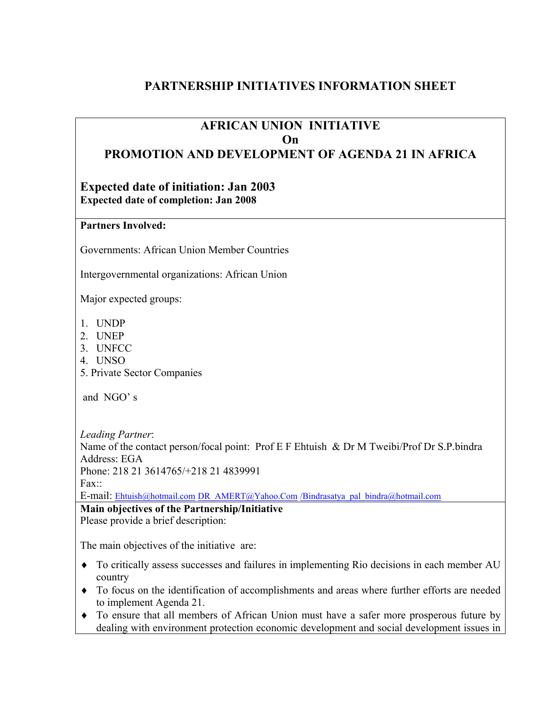# **PARTNERSHIP INITIATIVES INFORMATION SHEET**

## **AFRICAN UNION INITIATIVE On PROMOTION AND DEVELOPMENT OF AGENDA 21 IN AFRICA**

### **Expected date of initiation: Jan 2003 Expected date of completion: Jan 2008**

#### **Partners Involved:**

Governments: African Union Member Countries

Intergovernmental organizations: African Union

Major expected groups:

- 1. UNDP
- 2. UNEP
- 3. UNFCC
- 4. UNSO
- 5. Private Sector Companies

and NGO' s

*Leading Partner*: Name of the contact person/focal point: Prof E F Ehtuish & Dr M Tweibi/Prof Dr S.P.bindra Address: EGA Phone: 218 21 3614765/+218 21 4839991  $Fax$ <sup> $\cdots$ </sup>

E-mail: [Ehtuish@hotmail.com](mailto:Ehtuish@hotmail.com) [DR\\_AMERT@Yahoo.Com](mailto:DR_AMERT@Yahoo.Com) [/Bindrasatya\\_pal\\_bindra@hotmail.com](mailto:/Bindrasatya_pal_bindra@hotmail.com)

**Main objectives of the Partnership/Initiative**  Please provide a brief description:

The main objectives of the initiative are:

- ♦ To critically assess successes and failures in implementing Rio decisions in each member AU country
- ♦ To focus on the identification of accomplishments and areas where further efforts are needed to implement Agenda 21.
- ♦ To ensure that all members of African Union must have a safer more prosperous future by dealing with environment protection economic development and social development issues in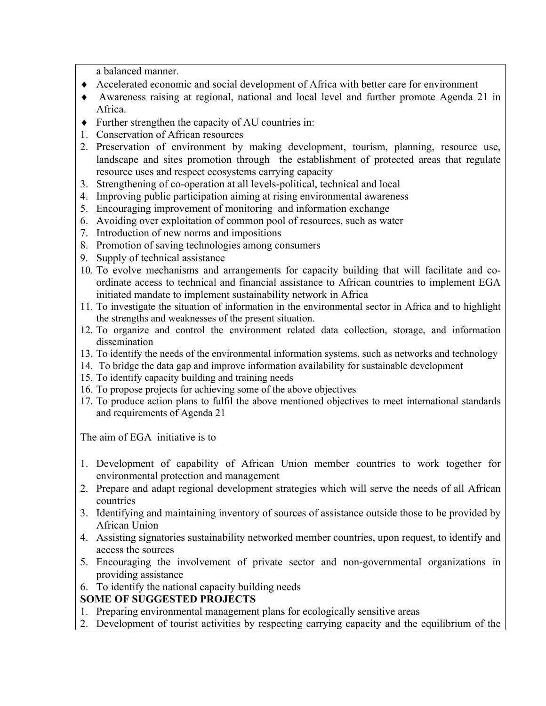a balanced manner.

- ♦ Accelerated economic and social development of Africa with better care for environment
- ♦ Awareness raising at regional, national and local level and further promote Agenda 21 in Africa.
- ♦ Further strengthen the capacity of AU countries in:
- 1. Conservation of African resources
- 2. Preservation of environment by making development, tourism, planning, resource use, landscape and sites promotion through the establishment of protected areas that regulate resource uses and respect ecosystems carrying capacity
- 3. Strengthening of co-operation at all levels-political, technical and local
- 4. Improving public participation aiming at rising environmental awareness
- 5. Encouraging improvement of monitoring and information exchange
- 6. Avoiding over exploitation of common pool of resources, such as water
- 7. Introduction of new norms and impositions
- 8. Promotion of saving technologies among consumers
- 9. Supply of technical assistance
- 10. To evolve mechanisms and arrangements for capacity building that will facilitate and coordinate access to technical and financial assistance to African countries to implement EGA initiated mandate to implement sustainability network in Africa
- 11. To investigate the situation of information in the environmental sector in Africa and to highlight the strengths and weaknesses of the present situation.
- 12. To organize and control the environment related data collection, storage, and information dissemination
- 13. To identify the needs of the environmental information systems, such as networks and technology
- 14. To bridge the data gap and improve information availability for sustainable development
- 15. To identify capacity building and training needs
- 16. To propose projects for achieving some of the above objectives
- 17. To produce action plans to fulfil the above mentioned objectives to meet international standards and requirements of Agenda 21

The aim of EGA initiative is to

- 1. Development of capability of African Union member countries to work together for environmental protection and management
- 2. Prepare and adapt regional development strategies which will serve the needs of all African countries
- 3. Identifying and maintaining inventory of sources of assistance outside those to be provided by African Union
- 4. Assisting signatories sustainability networked member countries, upon request, to identify and access the sources
- 5. Encouraging the involvement of private sector and non-governmental organizations in providing assistance
- 6. To identify the national capacity building needs

## **SOME OF SUGGESTED PROJECTS**

- 1. Preparing environmental management plans for ecologically sensitive areas
- 2. Development of tourist activities by respecting carrying capacity and the equilibrium of the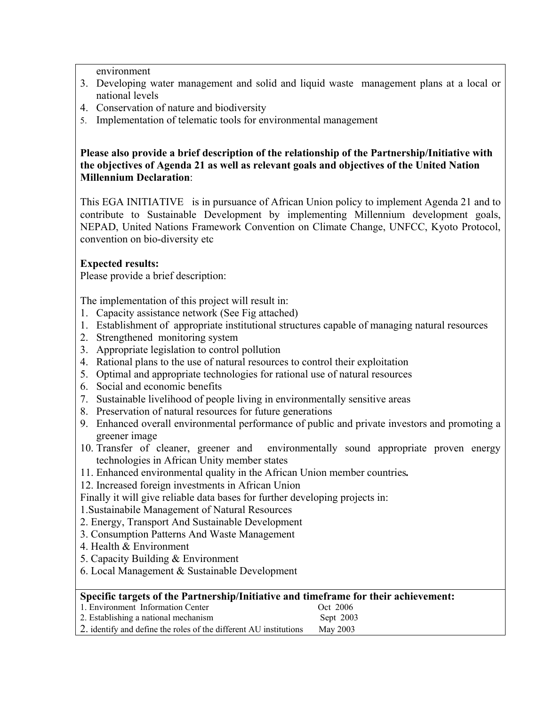environment

- 3. Developing water management and solid and liquid waste management plans at a local or national levels
- 4. Conservation of nature and biodiversity
- 5. Implementation of telematic tools for environmental management

#### **Please also provide a brief description of the relationship of the Partnership/Initiative with the objectives of Agenda 21 as well as relevant goals and objectives of the United Nation Millennium Declaration**:

This EGA INITIATIVE is in pursuance of African Union policy to implement Agenda 21 and to contribute to Sustainable Development by implementing Millennium development goals, NEPAD, United Nations Framework Convention on Climate Change, UNFCC, Kyoto Protocol, convention on bio-diversity etc

### **Expected results:**

Please provide a brief description:

The implementation of this project will result in:

- 1. Capacity assistance network (See Fig attached)
- 1. Establishment of appropriate institutional structures capable of managing natural resources
- 2. Strengthened monitoring system
- 3. Appropriate legislation to control pollution
- 4. Rational plans to the use of natural resources to control their exploitation
- 5. Optimal and appropriate technologies for rational use of natural resources
- 6. Social and economic benefits
- 7. Sustainable livelihood of people living in environmentally sensitive areas
- 8. Preservation of natural resources for future generations
- 9. Enhanced overall environmental performance of public and private investors and promoting a greener image
- 10. Transfer of cleaner, greener and environmentally sound appropriate proven energy technologies in African Unity member states
- 11. Enhanced environmental quality in the African Union member countries*.*

12. Increased foreign investments in African Union

Finally it will give reliable data bases for further developing projects in:

1.Sustainabile Management of Natural Resources

- 2. Energy, Transport And Sustainable Development
- 3. Consumption Patterns And Waste Management
- 4. Health & Environment
- 5. Capacity Building & Environment
- 6. Local Management & Sustainable Development

#### **Specific targets of the Partnership/Initiative and timeframe for their achievement:**

| 1. Environment Information Center                                 | Oct 2006  |
|-------------------------------------------------------------------|-----------|
| 2. Establishing a national mechanism                              | Sept 2003 |
| 2. identify and define the roles of the different AU institutions | May 2003  |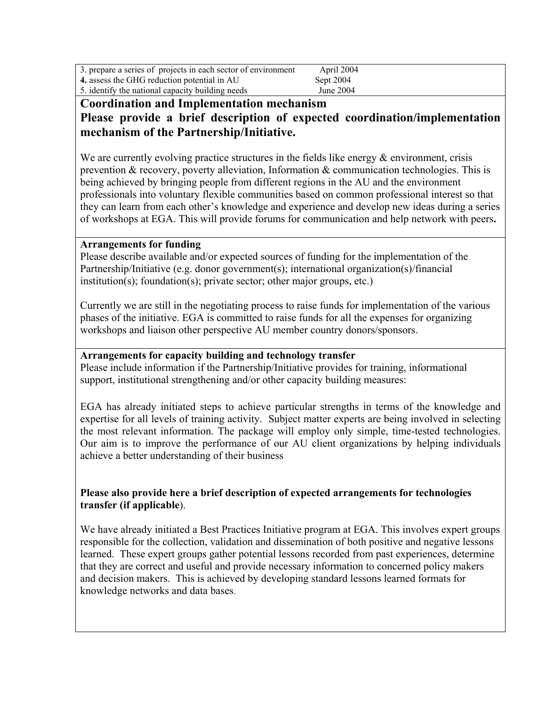| 3. prepare a series of projects in each sector of environment | April 2004 |  |
|---------------------------------------------------------------|------------|--|
| 4. assess the GHG reduction potential in AU                   | Sept 2004  |  |
| 5. identify the national capacity building needs              | June 2004  |  |

## **Coordination and Implementation mechanism Please provide a brief description of expected coordination/implementation mechanism of the Partnership/Initiative.**

We are currently evolving practice structures in the fields like energy  $\&$  environment, crisis prevention & recovery, poverty alleviation, Information & communication technologies. This is being achieved by bringing people from different regions in the AU and the environment professionals into voluntary flexible communities based on common professional interest so that they can learn from each other's knowledge and experience and develop new ideas during a series of workshops at EGA. This will provide forums for communication and help network with peers**.** 

#### **Arrangements for funding**

Please describe available and/or expected sources of funding for the implementation of the Partnership/Initiative (e.g. donor government(s); international organization(s)/financial institution(s); foundation(s); private sector; other major groups, etc.)

Currently we are still in the negotiating process to raise funds for implementation of the various phases of the initiative. EGA is committed to raise funds for all the expenses for organizing workshops and liaison other perspective AU member country donors/sponsors.

#### **Arrangements for capacity building and technology transfer**

Please include information if the Partnership/Initiative provides for training, informational support, institutional strengthening and/or other capacity building measures:

EGA has already initiated steps to achieve particular strengths in terms of the knowledge and expertise for all levels of training activity. Subject matter experts are being involved in selecting the most relevant information. The package will employ only simple, time-tested technologies. Our aim is to improve the performance of our AU client organizations by helping individuals achieve a better understanding of their business

#### **Please also provide here a brief description of expected arrangements for technologies transfer (if applicable**).

We have already initiated a Best Practices Initiative program at EGA. This involves expert groups responsible for the collection, validation and dissemination of both positive and negative lessons learned. These expert groups gather potential lessons recorded from past experiences, determine that they are correct and useful and provide necessary information to concerned policy makers and decision makers. This is achieved by developing standard lessons learned formats for knowledge networks and data bases.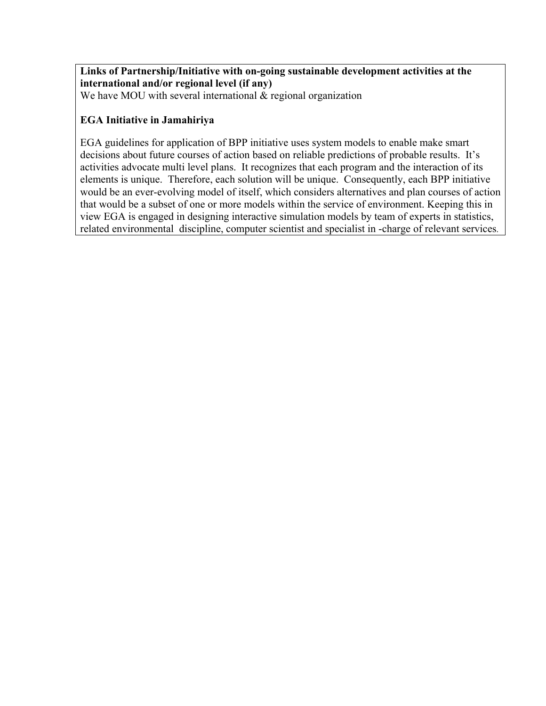# **Links of Partnership/Initiative with on-going sustainable development activities at the international and/or regional level (if any)**

We have MOU with several international  $\&$  regional organization

### **EGA Initiative in Jamahiriya**

EGA guidelines for application of BPP initiative uses system models to enable make smart decisions about future courses of action based on reliable predictions of probable results. It's activities advocate multi level plans. It recognizes that each program and the interaction of its elements is unique. Therefore, each solution will be unique. Consequently, each BPP initiative would be an ever-evolving model of itself, which considers alternatives and plan courses of action that would be a subset of one or more models within the service of environment. Keeping this in view EGA is engaged in designing interactive simulation models by team of experts in statistics, related environmental discipline, computer scientist and specialist in -charge of relevant services.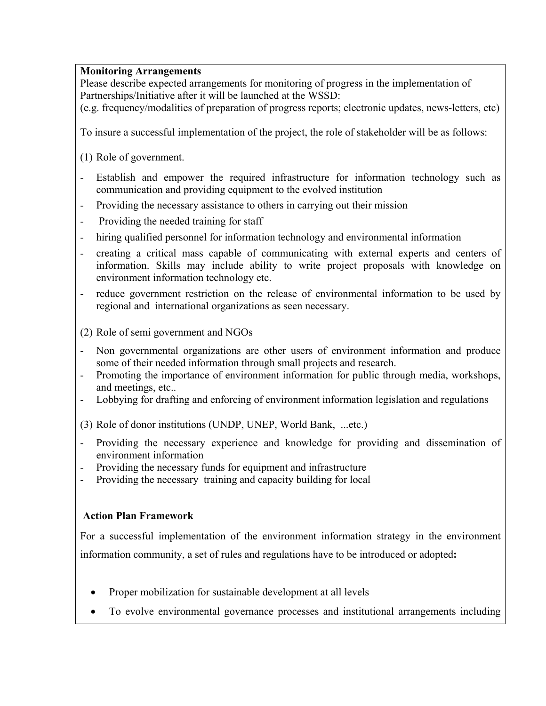### **Monitoring Arrangements**

Please describe expected arrangements for monitoring of progress in the implementation of Partnerships/Initiative after it will be launched at the WSSD:

(e.g. frequency/modalities of preparation of progress reports; electronic updates, news-letters, etc)

To insure a successful implementation of the project, the role of stakeholder will be as follows:

- (1) Role of government.
- Establish and empower the required infrastructure for information technology such as communication and providing equipment to the evolved institution
- Providing the necessary assistance to others in carrying out their mission
- Providing the needed training for staff
- hiring qualified personnel for information technology and environmental information
- creating a critical mass capable of communicating with external experts and centers of information. Skills may include ability to write project proposals with knowledge on environment information technology etc.
- reduce government restriction on the release of environmental information to be used by regional and international organizations as seen necessary.
- (2) Role of semi government and NGOs
- Non governmental organizations are other users of environment information and produce some of their needed information through small projects and research.
- Promoting the importance of environment information for public through media, workshops, and meetings, etc..
- Lobbying for drafting and enforcing of environment information legislation and regulations
- (3) Role of donor institutions (UNDP, UNEP, World Bank, ...etc.)
- Providing the necessary experience and knowledge for providing and dissemination of environment information
- Providing the necessary funds for equipment and infrastructure
- Providing the necessary training and capacity building for local

#### **Action Plan Framework**

For a successful implementation of the environment information strategy in the environment information community, a set of rules and regulations have to be introduced or adopted**:** 

- Proper mobilization for sustainable development at all levels
- To evolve environmental governance processes and institutional arrangements including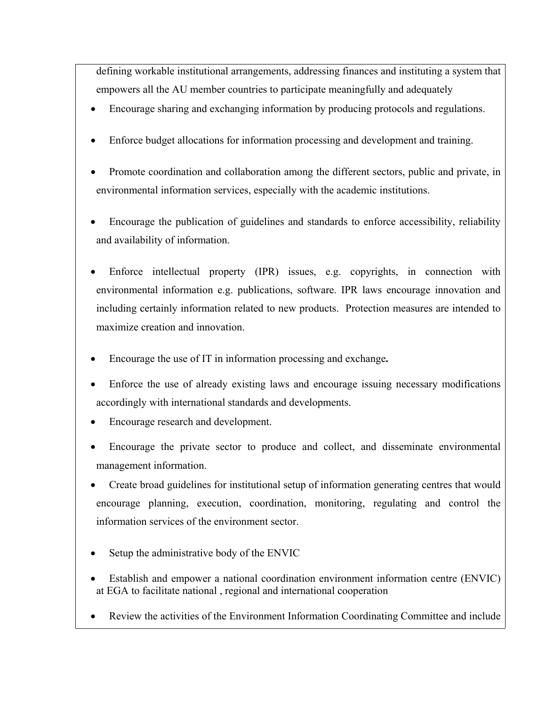defining workable institutional arrangements, addressing finances and instituting a system that empowers all the AU member countries to participate meaningfully and adequately

- Encourage sharing and exchanging information by producing protocols and regulations.
- Enforce budget allocations for information processing and development and training.
- Promote coordination and collaboration among the different sectors, public and private, in environmental information services, especially with the academic institutions.
- Encourage the publication of guidelines and standards to enforce accessibility, reliability and availability of information.
- Enforce intellectual property (IPR) issues, e.g. copyrights, in connection with environmental information e.g. publications, software. IPR laws encourage innovation and including certainly information related to new products. Protection measures are intended to maximize creation and innovation.
- Encourage the use of IT in information processing and exchange**.**
- Enforce the use of already existing laws and encourage issuing necessary modifications accordingly with international standards and developments.
- Encourage research and development.
- Encourage the private sector to produce and collect, and disseminate environmental management information.
- Create broad guidelines for institutional setup of information generating centres that would encourage planning, execution, coordination, monitoring, regulating and control the information services of the environment sector.
- Setup the administrative body of the ENVIC
- Establish and empower a national coordination environment information centre (ENVIC) at EGA to facilitate national , regional and international cooperation
- Review the activities of the Environment Information Coordinating Committee and include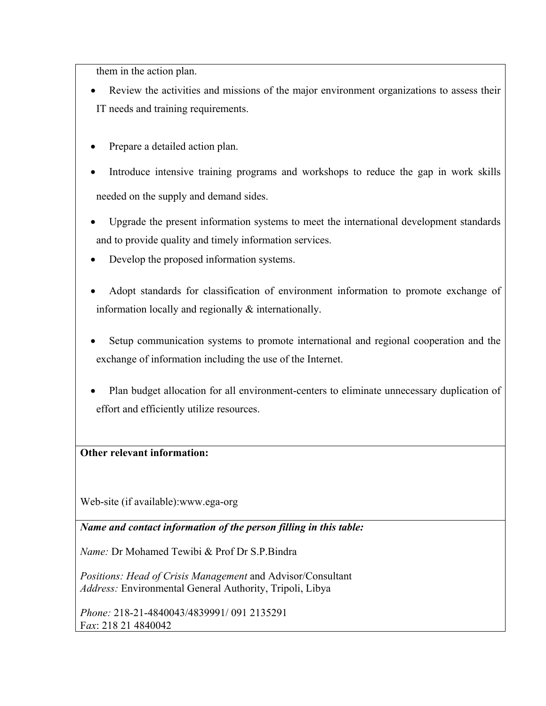them in the action plan.

- Review the activities and missions of the major environment organizations to assess their IT needs and training requirements.
- Prepare a detailed action plan.
- Introduce intensive training programs and workshops to reduce the gap in work skills needed on the supply and demand sides.
- Upgrade the present information systems to meet the international development standards and to provide quality and timely information services.
- Develop the proposed information systems.
- Adopt standards for classification of environment information to promote exchange of information locally and regionally & internationally.
- Setup communication systems to promote international and regional cooperation and the exchange of information including the use of the Internet.
- Plan budget allocation for all environment-centers to eliminate unnecessary duplication of effort and efficiently utilize resources.

## **Other relevant information:**

Web-site (if available):www.ega-org

*Name and contact information of the person filling in this table:* 

*Name:* Dr Mohamed Tewibi & Prof Dr S.P.Bindra

*Positions: Head of Crisis Management* and Advisor/Consultant *Address:* Environmental General Authority, Tripoli, Libya

*Phone:* 218-21-4840043/4839991/ 091 2135291 F*ax*: 218 21 4840042